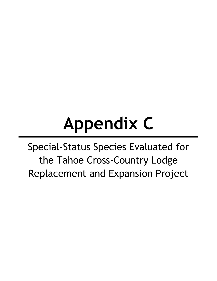# **Appendix C**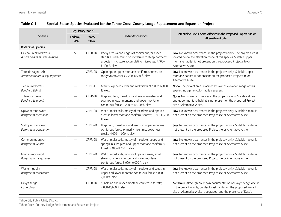| Table C-1<br>Special-Status Species Evaluated for the Tahoe Cross-County Lodge Replacement and Expansion Project |                                                                                                                                                  |                                                                                                |                                                                                                                                                                                   |                                                                                                                                                                                                                                      |  |
|------------------------------------------------------------------------------------------------------------------|--------------------------------------------------------------------------------------------------------------------------------------------------|------------------------------------------------------------------------------------------------|-----------------------------------------------------------------------------------------------------------------------------------------------------------------------------------|--------------------------------------------------------------------------------------------------------------------------------------------------------------------------------------------------------------------------------------|--|
|                                                                                                                  | Regulatory Status <sup>1</sup>                                                                                                                   |                                                                                                |                                                                                                                                                                                   |                                                                                                                                                                                                                                      |  |
| Species                                                                                                          | Federal/<br><b>TRPA</b>                                                                                                                          | State/<br>Other                                                                                | <b>Habitat Associations</b>                                                                                                                                                       | Potential to Occur or Be Affected in the Proposed Project Site or<br>Alternative A Site <sup>2</sup>                                                                                                                                 |  |
| <b>Botanical Species</b>                                                                                         |                                                                                                                                                  |                                                                                                |                                                                                                                                                                                   |                                                                                                                                                                                                                                      |  |
| Galena Creek rockcress<br>Arabis rigidissima var. demota                                                         | SI                                                                                                                                               | CRPR-1B                                                                                        | Rocky areas along edges of conifer and/or aspen<br>stands. Usually found on moderate to steep northerly<br>aspects in moisture accumulating microsites; 7,400-<br>8,400 ft. elev. | Low. No known occurrences in the project vicinity. The project area is<br>located below the elevation range of this species. Suitable upper<br>montane habitat is not present on the proposed Project site or<br>Alternative A site. |  |
| Threetip sagebrush<br>CRPR-2B<br>Artemisia tripartita ssp. tripartita                                            |                                                                                                                                                  | Openings in upper montane coniferous forest, on<br>rocky/volcanic soils; 7,200-8,530 ft. elev. | Low. No known occurrences in the project vicinity. Suitable upper<br>montane habitat is not present on the proposed Project site or<br>Alternative A site.                        |                                                                                                                                                                                                                                      |  |
| Tiehm's rock cress<br>Boechera tiehmii                                                                           | CRPR-1B<br>Granitic alpine boulder and rock fields; 9,700 to 12,000<br>ft. elev.                                                                 |                                                                                                | None. The project area is located below the elevation range of this<br>species; no alpine rocky habitats present.                                                                 |                                                                                                                                                                                                                                      |  |
| Tulare rockcress<br>Boechera tularensis                                                                          |                                                                                                                                                  | CRPR-1B                                                                                        | Bogs and fens, meadows and seeps, marshes and<br>swamps in lower montane and upper montane<br>coniferous forest; 4,200 to 10,700 ft. elev.                                        | None. No known occurrences in the project vicinity. Suitable alpine<br>and upper montane habitat is not present on the proposed Project<br>site or Alternative A site.                                                               |  |
| Upswept moonwort<br>Botrychium ascendens                                                                         |                                                                                                                                                  | CRPR-2B                                                                                        | Wet or moist soils, mostly of meadows and riparian<br>areas in lower montane coniferous forest; 5,000-10,200<br>ft. elev.                                                         | Low. No known occurrences in the project vicinity. Suitable habitat is<br>not present on the proposed Project site or Alternative A site.                                                                                            |  |
| Scalloped moonwort<br>Botrychium crenulatum                                                                      | CRPR-2B<br>Bogs, fens, meadows, and seeps, in upper montane<br>coniferous forest, primarily moist meadows near<br>creeks; 4,000-11,000 ft. elev. |                                                                                                | Low. No known occurrences in the project vicinity. Suitable habitat is<br>not present on the proposed Project site or Alternative A site.                                         |                                                                                                                                                                                                                                      |  |
| Common moonwort<br>Botrychium lunaria                                                                            |                                                                                                                                                  | CRPR-2B                                                                                        | Wet or moist soils, mostly of meadows, seeps, and<br>springs in subalpine and upper montane coniferous<br>forest; 6,400-11,200 ft. elev.                                          | Low. No known occurrences in the project vicinity. Suitable habitat is<br>not present on the proposed Project site or Alternative A site.                                                                                            |  |
| Mingan moonwort<br>Botrychium minganense                                                                         |                                                                                                                                                  | CRPR-2B                                                                                        | Wet or moist soils, mostly of riparian areas, small<br>streams, or fens in upper and lower montane<br>coniferous forest; 5,000-10,000 ft. elev.                                   | Low. No known occurrences in the project vicinity. Suitable habitat is<br>not present on the proposed Project site or Alternative A site.                                                                                            |  |
| Western goblin<br>Botrychium montanum                                                                            |                                                                                                                                                  | CRPR-2B                                                                                        | Wet or moist soils, mostly of meadows and seeps in<br>upper and lower montane coniferous forest; 5,000-<br>7,000 ft. elev.                                                        | Low. No known occurrences in the project vicinity. Suitable habitat is<br>not present on the proposed Project site or Alternative A site.                                                                                            |  |
| Davy's sedge<br>Carex davyi                                                                                      |                                                                                                                                                  | CRPR-1B                                                                                        | Subalpine and upper montane coniferous forests;<br>4,800-10,600 ft. elev.                                                                                                         | Moderate. Although no known documentation of Davy's sedge occurs<br>in the project vicinity, conifer forest habitat on the proposed Project<br>site or Alternative A site is degraded, and the presence of Davy's                    |  |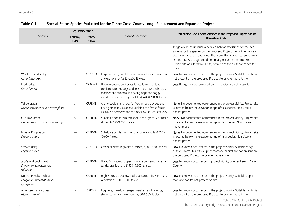|                                                                  | Regulatory Status <sup>1</sup> |                 |                                                                                                                                                                                                                      |                                                                                                                                                                                                                                                                                                                                                                          |  |
|------------------------------------------------------------------|--------------------------------|-----------------|----------------------------------------------------------------------------------------------------------------------------------------------------------------------------------------------------------------------|--------------------------------------------------------------------------------------------------------------------------------------------------------------------------------------------------------------------------------------------------------------------------------------------------------------------------------------------------------------------------|--|
| <b>Species</b>                                                   | Federal/<br><b>TRPA</b>        | State/<br>Other | <b>Habitat Associations</b>                                                                                                                                                                                          | Potential to Occur or Be Affected in the Proposed Project Site or<br>Alternative A Site <sup>2</sup>                                                                                                                                                                                                                                                                     |  |
|                                                                  |                                |                 |                                                                                                                                                                                                                      | sedge would be unusual, a detailed habitat assessment or focused<br>surveys for this species on the proposed Project site or Alternative A<br>site have not been conducted. Therefore, this analysis conservatively<br>assumes Davy's sedge could potentially occur on the proposed<br>Project site or Alternative A site, because of the presence of conifer<br>forest. |  |
| Woolly-fruited sedge<br>Carex lasiocarpa                         |                                | CRPR-2B         | Bogs and fens, and lake margin marshes and swamps<br>at elevations; of 1,980-6,850 ft. elev.                                                                                                                         | Low. No known occurrences in the project vicinity. Suitable habitat is<br>not present on the proposed Project site or Alternative A site.                                                                                                                                                                                                                                |  |
| Mud sedge<br>Carex limosa                                        |                                | CRPR-2B         | Upper montane coniferous forest, lower montane<br>coniferous forest, bogs and fens, meadows and seeps,<br>marshes and swamps (in floating bogs and soggy<br>meadows, often at edges of lakes); 4,000-9,000 ft. elev. | Low. Boggy habitats preferred by this species are not present.                                                                                                                                                                                                                                                                                                           |  |
| Tahoe draba<br>Draba asterophora var. asterophora                | SI                             | CRPR-1B         | Alpine boulder and rock fell field in rock crevices and<br>open granite talus slopes, subalpine coniferous forest,<br>usually on northeast-facing slopes; 8,200-10,500 ft. elev.                                     | None. No documented occurrences in the project vicinity. Project site<br>is located below the elevation range of this species. No suitable<br>habitat present.                                                                                                                                                                                                           |  |
| Cup Lake draba<br>Draba asterophora var. macrocarpa              | SI                             | CRPR-1B         | Subalpine coniferous forest on steep, gravelly or rocky<br>slopes; 8,200-9,200 ft. elev.                                                                                                                             | None. No documented occurrences in the project vicinity. Project site<br>is located below the elevation range of this species. No suitable<br>habitat present.                                                                                                                                                                                                           |  |
| Mineral King draba<br>Draba cruciate                             |                                | CRPR-1B         | Subalpine coniferous forest, on gravely soils, 8,200 -<br>10,900 ft elev.                                                                                                                                            | None. No documented occurrences in the project vicinity. Project site<br>is located below the elevation range of this species. No suitable<br>habitat present.                                                                                                                                                                                                           |  |
| Starved daisy<br>Erigeron miser                                  |                                | CRPR-2B         | Cracks or clefts in granite outcrops; 6,000-8,500 ft. elev.                                                                                                                                                          | Low. No known occurrences in the project vicinity. Suitable rocky<br>outcrop microsites within upper montane habitat are not present on<br>the proposed Project site or Alternative A site.                                                                                                                                                                              |  |
| Jack's wild buckwheat<br>Eriogonum luteolum var.<br>saltuarium   |                                | CRPR-1B         | Great Basin scrub, upper montane coniferous forest on<br>sandy, granitic soils, 5,600 -7,900 ft. elev.                                                                                                               | Low. No known occurrences in project vicinity or elsewhere in Placer<br>County.                                                                                                                                                                                                                                                                                          |  |
| Donner Pass buckwheat<br>Eriogonum umbellatum var.<br>torreyanum |                                | CRPR-1B         | Highly erosive, shallow, rocky volcanic soils with sparse<br>vegetation; 6,000-8,600 ft. elev.                                                                                                                       | Low. No known occurrences in the project vicinity. Suitable upper<br>montane habitat not present on site.                                                                                                                                                                                                                                                                |  |
| American manna grass<br>Glyceria grandis                         |                                | CRPR-2          | Bog, fens, meadows, seeps, marshes, and swamps;<br>streambanks and lake margins; 50-6,500 ft. elev.                                                                                                                  | Low. No known occurrences in the project vicinity. Suitable habitat is<br>not present on the proposed Project site or Alternative A site.                                                                                                                                                                                                                                |  |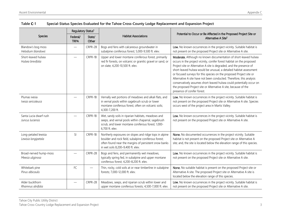|                                             | Regulatory Status <sup>1</sup> |                 |                                                                                                                                                                                                               | Potential to Occur or Be Affected in the Proposed Project Site or<br>Alternative A Site <sup>2</sup>                                                                                                                                                                                                                                                                                                                                                                                                                                                                                                               |  |
|---------------------------------------------|--------------------------------|-----------------|---------------------------------------------------------------------------------------------------------------------------------------------------------------------------------------------------------------|--------------------------------------------------------------------------------------------------------------------------------------------------------------------------------------------------------------------------------------------------------------------------------------------------------------------------------------------------------------------------------------------------------------------------------------------------------------------------------------------------------------------------------------------------------------------------------------------------------------------|--|
| <b>Species</b>                              | Federal/<br><b>TRPA</b>        | State/<br>Other | <b>Habitat Associations</b>                                                                                                                                                                                   |                                                                                                                                                                                                                                                                                                                                                                                                                                                                                                                                                                                                                    |  |
| Blandow's bog moss<br>Helodium blandowii    |                                | CRPR-2B         | Bogs and fens with calcareous groundwater in<br>subalpine coniferous forest; 5,000-9,500 ft. elev.                                                                                                            | Low. No known occurrences in the project vicinity. Suitable habitat is<br>not present on the proposed Project site or Alternative A site.                                                                                                                                                                                                                                                                                                                                                                                                                                                                          |  |
| Short-leaved hulsea<br>Hulsea brevifolia    |                                | CRPR-1B         | Upper and lower montane coniferous forest, primarily<br>red fir forests, on volcanic or granitic gravel or sand, or<br>on slate; 4,200-10,500 ft. elev.                                                       | Moderate. Although no known documentation of short-leaved hulsea<br>occurs in the project vicinity, conifer forest habitat on the proposed<br>Project site or Alternative A site is degraded, and the presence of<br>short-leaved hulsea would be unusual, a detailed habitat assessment<br>or focused surveys for this species on the proposed Project site or<br>Alternative A site have not been conducted. Therefore, this analysis<br>conservatively assumes short-leaved hulsea could potentially occur on<br>the proposed Project site or Alternative A site, because of the<br>presence of conifer forest. |  |
| Plumas ivesia<br>Ivesia sericoleuca         |                                | CRPR-1B         | Vernally wet portions of meadows and alkali flats, and<br>in vernal pools within sagebrush scrub or lower<br>montane coniferous forest, often on volcanic soils;<br>4,300-7,200 ft.                           | Low. No known occurrences in the project vicinity. Suitable habitat is<br>not present on the proposed Project site or Alternative A site. Species<br>occurs west of the project area in Martis Valley.                                                                                                                                                                                                                                                                                                                                                                                                             |  |
| Santa Lucia dwarf rush<br>Juncus luciensis  |                                | CRPR-1B         | Wet, sandy soils in riparian habitats, meadows and<br>seeps, and vernal pools within chaparral, sagebrush<br>scrub, and lower montane coniferous forest; 1,000-<br>6,700 ft. elev.                            | Low. No known occurrences in the project vicinity. Suitable habitat is<br>not present on the proposed Project site or Alternative A site.                                                                                                                                                                                                                                                                                                                                                                                                                                                                          |  |
| Long-petaled lewisia<br>Lewisia longipetala | SI                             | CRPR-1B         | Northerly exposures on slopes and ridge tops in alpine<br>boulder and rock field, subalpine coniferous forest;<br>often found near the margins of persistent snow banks<br>in wet soils 8,200-9,400 ft. elev. | None. No documented occurrences in the project vicinity. Suitable<br>habitat is not present on the proposed Project site or Alternative A<br>site; and, the site is located below the elevation range of this species.                                                                                                                                                                                                                                                                                                                                                                                             |  |
| Broad-nerved hump-moss<br>Meesia uliginosa  |                                | CRPR-2B         | Bogs and fens, and permanently wet meadows,<br>typically spring fed, in subalpine and upper montane<br>coniferous forest; 4,200-8,200 ft. elev.                                                               | Low. No known occurrences in the project vicinity. Suitable habitat is<br>not present on the proposed Project site or Alternative A site.                                                                                                                                                                                                                                                                                                                                                                                                                                                                          |  |
| Whitebark pine<br>Pinus albicaulis          | ${\sf FC}$                     |                 | Thin, rocky, cold soils at or near timberline in subalpine<br>forests; 7,000-12,000 ft. elev.                                                                                                                 | None. No suitable habitat is present on the proposed Project site or<br>Alternative A site. The proposed Project site or Alternative A site is<br>located below the elevation range of this species.                                                                                                                                                                                                                                                                                                                                                                                                               |  |
| Alder buckthorn<br>Rhamnus alnifolia        |                                | CRPR-2B         | Meadows, seeps, and riparian scrub within lower and<br>upper montane coniferous forests; 4,500-7,000 ft. elev.                                                                                                | Low. No known occurrences in the project vicinity. Suitable habitat is<br>not present on the proposed Project site or Alternative A site.                                                                                                                                                                                                                                                                                                                                                                                                                                                                          |  |

| Table C-1 |  | Special-Status Species Evaluated for the Tahoe Cross-County Lodge Replacement and Expansion Project |  |  |  |
|-----------|--|-----------------------------------------------------------------------------------------------------|--|--|--|
|-----------|--|-----------------------------------------------------------------------------------------------------|--|--|--|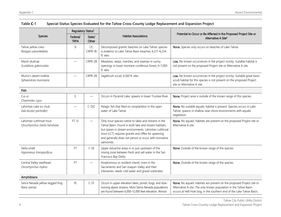|                                                           | Regulatory Status <sup>1</sup> |                 |                                                                                                                                                                                                                                                                                                        | Potential to Occur or Be Affected in the Proposed Project Site or<br>Alternative A Site <sup>2</sup>                                                                                                               |  |
|-----------------------------------------------------------|--------------------------------|-----------------|--------------------------------------------------------------------------------------------------------------------------------------------------------------------------------------------------------------------------------------------------------------------------------------------------------|--------------------------------------------------------------------------------------------------------------------------------------------------------------------------------------------------------------------|--|
| Species                                                   | Federal/<br><b>TRPA</b>        | State/<br>Other | <b>Habitat Associations</b>                                                                                                                                                                                                                                                                            |                                                                                                                                                                                                                    |  |
| Tahoe yellow cress<br>Rorippa subumbellata                | SI                             | CE,<br>CRPR-1B  | Decomposed granitic beaches on Lake Tahoe; species<br>is endemic to Lake Tahoe Basin beaches; 6,217-6,234<br>ft. elev.                                                                                                                                                                                 | None. Species only occurs on beaches of Lake Tahoe.                                                                                                                                                                |  |
| Marsh skullcap<br>Scutellaria galericulata                |                                | CRPR-2B         | Meadows, seeps, marshes, and swamps in sunny<br>openings in lower montane coniferous forest; 0-7,000<br>ft. elev.                                                                                                                                                                                      | Low. No known occurrences in the project vicinity. Suitable habitat is<br>not present on the proposed Project site or Alternative A site.                                                                          |  |
| Munro's desert mallow<br>Sphaeralcea munroana             |                                | CRPR-2B         | Sagebrush scrub; 6,560 ft. elev.                                                                                                                                                                                                                                                                       | Low. No known occurrences in the project vicinity. Suitable great basin<br>scrub habitat for this species is not present on the proposed Project<br>site or Alternative A site.                                    |  |
| Fish                                                      |                                |                 |                                                                                                                                                                                                                                                                                                        |                                                                                                                                                                                                                    |  |
| Cui-ui<br>Chasmistes cujus                                | $\mathsf E$                    |                 | Occurs in Pyramid Lake, spawns in lower Truckee River.                                                                                                                                                                                                                                                 | None. Project area is outside of the known range of this species.                                                                                                                                                  |  |
| Lahontan Lake tui chub<br>Gila bicolor pectinifer)        |                                | C-SSC           | Pelagic fish that feed on zooplankton in the open<br>water of Lake Tahoe.                                                                                                                                                                                                                              | None. No suitable aquatic habitat is present. Species occurs in Lake<br>Tahoe; spawns in shallow near-shore environments with aquatic<br>vegetation.                                                               |  |
| Lahontan cutthroat trout<br>Oncorhynchus clarkii henshawi | FT, SI                         |                 | Only trout species native to lakes and streams in the<br>Tahoe Basin. Found in both lake and stream habitats,<br>but spawn in stream environments. Lahontan cutthroat<br>trout (LCT) requires gravels and riffles for spawning<br>and generally does not persist or occur with nonnative<br>salmonids. | None. No aquatic habitats are present on the proposed Project site or<br>Alternative A site.                                                                                                                       |  |
| Delta smelt<br>Hypomesus transpacificus                   | <b>FT</b>                      | $C-SE$          | Upper estuarine areas in or just upstream of the<br>mixing zone between fresh and salt water in the San<br>Francisco Bay-Delta.                                                                                                                                                                        | None. Outside of the known range of the species.                                                                                                                                                                   |  |
| Central Valley steelhead<br>Oncorhynchus mykiss           | <b>FT</b>                      |                 | Anadromous or resident inland; rivers in the<br>Sacramento and San Joaquin Valley and their<br>tributaries; needs cold water and gravel substrates.                                                                                                                                                    | None. Outside of the known range of the species.                                                                                                                                                                   |  |
| Amphibians                                                |                                |                 |                                                                                                                                                                                                                                                                                                        |                                                                                                                                                                                                                    |  |
| Sierra Nevada yellow-legged frog<br>Rana sierrae          | FE.                            | $C-ST$          | Occurs in upper elevation lakes, ponds, bogs, and slow-<br>moving alpine streams. Most Sierra Nevada populations<br>are found between 6,000-12,000 feet elevation. Almost                                                                                                                              | None. No aquatic habitats are present on the proposed Project site or<br>Alternative A site. The only known population in the Tahoe Basin<br>occurs at Hell Hole bog, in the southern end of the Lake Tahoe Basin, |  |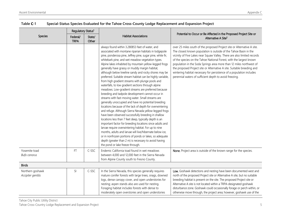|                                        | Regulatory Status <sup>1</sup> |                 |                                                                                                                                                                                                                                                                                                                                                                                                                                                                                                                                                                                                                                                                                                                                                                                                                                                                                                                                                                                                                                                                                                                                                                                                                                                                                                                                                                                 |                                                                                                                                                                                                                                                                                                                                                                                                                                                                                                                                                                                     |  |
|----------------------------------------|--------------------------------|-----------------|---------------------------------------------------------------------------------------------------------------------------------------------------------------------------------------------------------------------------------------------------------------------------------------------------------------------------------------------------------------------------------------------------------------------------------------------------------------------------------------------------------------------------------------------------------------------------------------------------------------------------------------------------------------------------------------------------------------------------------------------------------------------------------------------------------------------------------------------------------------------------------------------------------------------------------------------------------------------------------------------------------------------------------------------------------------------------------------------------------------------------------------------------------------------------------------------------------------------------------------------------------------------------------------------------------------------------------------------------------------------------------|-------------------------------------------------------------------------------------------------------------------------------------------------------------------------------------------------------------------------------------------------------------------------------------------------------------------------------------------------------------------------------------------------------------------------------------------------------------------------------------------------------------------------------------------------------------------------------------|--|
| <b>Species</b>                         | Federal/<br><b>TRPA</b>        | State/<br>Other | <b>Habitat Associations</b>                                                                                                                                                                                                                                                                                                                                                                                                                                                                                                                                                                                                                                                                                                                                                                                                                                                                                                                                                                                                                                                                                                                                                                                                                                                                                                                                                     | Potential to Occur or Be Affected in the Proposed Project Site or<br>Alternative A Site <sup>2</sup>                                                                                                                                                                                                                                                                                                                                                                                                                                                                                |  |
|                                        |                                |                 | always found within 3.280853 feet of water, and<br>associated with montane riparian habitats in lodgepole<br>pine, ponderosa pine, Jeffrey pine, sugar pine, white fir,<br>whitebark pine, and wet meadow vegetation types.<br>Alpine lakes inhabited by mountain yellow-legged frogs<br>generally have grassy or muddy margin habitat,<br>although below treeline sandy and rocky shores may be<br>preferred. Suitable stream habitat can be highly variable,<br>from high gradient streams with plunge pools and<br>waterfalls, to low gradient sections through alpine<br>meadows. Low-gradient streams are preferred because<br>breeding and tadpole development cannot occur in<br>streams with fast-moving water. Small streams are<br>generally unoccupied and have no potential breeding<br>locations because of the lack of depth for overwintering<br>and refuge. Although Sierra Nevada yellow-legged frogs<br>have been observed successfully breeding in shallow<br>locations less than 7 feet deep, typically depth is an<br>important factor for breeding locations since adults and<br>larvae require overwintering habitat. For up to nine<br>months, adults and larvae will live/hibernate below ice,<br>or in nonfrozen portions of ponds or lakes, so adequate<br>depth (greater than 2 m) is necessary to avoid having<br>the pond or lake freeze through. | over 25 miles south of the proposed Project site or Alternative A site.<br>The closest known population is outside of the Tahoe Basin in the<br>vicinity of Five Lakes near Squaw Valley. There are also limited records<br>of the species on the Tahoe National Forest, with the largest known<br>population in the Soda Springs area more than 12 miles northwest of<br>the proposed Project site or Alternative A site. Suitable breeding and<br>wintering habitat necessary for persistence of a population includes<br>perennial waters of sufficient depth to avoid freezing. |  |
| Yosemite toad<br><b>Bufo canorus</b>   | FT                             | C-SSC           | Endemic California toad found in wet meadows<br>between 4,000 and 12,000 feet in the Sierra Nevada<br>from Alpine County south to Fresno County.                                                                                                                                                                                                                                                                                                                                                                                                                                                                                                                                                                                                                                                                                                                                                                                                                                                                                                                                                                                                                                                                                                                                                                                                                                | None. Project area is outside of the known range for the species.                                                                                                                                                                                                                                                                                                                                                                                                                                                                                                                   |  |
| <b>Birds</b>                           |                                |                 |                                                                                                                                                                                                                                                                                                                                                                                                                                                                                                                                                                                                                                                                                                                                                                                                                                                                                                                                                                                                                                                                                                                                                                                                                                                                                                                                                                                 |                                                                                                                                                                                                                                                                                                                                                                                                                                                                                                                                                                                     |  |
| Northern goshawk<br>Accipiter gentilis | SI                             | C-SSC           | In the Sierra Nevada, this species generally requires<br>mature conifer forests with large trees, snags, downed<br>logs, dense canopy cover, and open understories for<br>nesting; aspen stands also are used for nesting.<br>Foraging habitat includes forests with dense to<br>moderately open overstories and open understories                                                                                                                                                                                                                                                                                                                                                                                                                                                                                                                                                                                                                                                                                                                                                                                                                                                                                                                                                                                                                                              | Low. Goshawk detections and nesting have been documented west and<br>north of the proposed Project site or Alternative A site, but no suitable<br>breeding habitat is present on the site. The proposed Project site or<br>Alternative A site is not located within a TRPA-designated goshawk<br>disturbance zone. Goshawk could occasionally forage or perch within, or<br>otherwise move through, the project area; however, goshawk use of the                                                                                                                                   |  |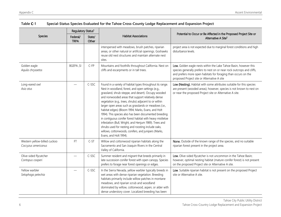|                                                     | Regulatory Status <sup>1</sup> |                                                                                                                                                        |                                                                                                                                                                                                                                                                                                                                                                                                                                                                                                                                                                                                                                                                                                                               |                                                                                                                                                                                                                                                              |
|-----------------------------------------------------|--------------------------------|--------------------------------------------------------------------------------------------------------------------------------------------------------|-------------------------------------------------------------------------------------------------------------------------------------------------------------------------------------------------------------------------------------------------------------------------------------------------------------------------------------------------------------------------------------------------------------------------------------------------------------------------------------------------------------------------------------------------------------------------------------------------------------------------------------------------------------------------------------------------------------------------------|--------------------------------------------------------------------------------------------------------------------------------------------------------------------------------------------------------------------------------------------------------------|
| <b>Species</b>                                      | Federal/<br><b>TRPA</b>        | Potential to Occur or Be Affected in the Proposed Project Site or<br><b>Habitat Associations</b><br>State/<br>Alternative A Site <sup>2</sup><br>Other |                                                                                                                                                                                                                                                                                                                                                                                                                                                                                                                                                                                                                                                                                                                               |                                                                                                                                                                                                                                                              |
|                                                     |                                |                                                                                                                                                        | interspersed with meadows, brush patches, riparian<br>areas, or other natural or artificial openings. Goshawks<br>reuse old nest structures and maintain alternate nest<br>sites.                                                                                                                                                                                                                                                                                                                                                                                                                                                                                                                                             | project area is not expected due to marginal forest conditions and high<br>disturbance levels.                                                                                                                                                               |
| Golden eagle<br>Aquila chrysaetos                   | <b>BGEPA, SI</b>               | $C$ -FP                                                                                                                                                | Mountains and foothills throughout California. Nest on<br>cliffs and escarpments or in tall trees.                                                                                                                                                                                                                                                                                                                                                                                                                                                                                                                                                                                                                            | Low. Golden eagle nests within the Lake Tahoe Basin, however this<br>species generally prefers to nest on or near rock outcrops and cliffs,<br>and prefers more open habitats for foraging than occurs on the<br>proposed Project site or Alternative A site |
| Long-eared owl<br>Asio otus                         |                                | C-SSC                                                                                                                                                  | Found in a variety of habitat types throughout its range.<br>Nest in woodland, forest, and open settings (e.g.,<br>grassland, shrub-steppe, and desert). Occupy wooded<br>and nonwooded areas that support relatively dense<br>vegetation (e.g., trees, shrubs) adjacent to or within<br>larger open areas such as grasslands or meadows (i.e.,<br>habitat edges) (Bloom 1994; Marks, Evans, and Holt<br>1994). This species also has been documented breeding<br>in contiguous conifer forest habitat with heavy mistletoe<br>infestation (Bull, Wright, and Henjum 1989). Trees and<br>shrubs used for nesting and roosting include oaks,<br>willows, cottonwoods, conifers, and junipers (Marks,<br>Evans, and Holt 1994). | Low (Nesting). Habitat with some attributes suitable for this species<br>are present (wooded areas); however, species is not known to nest on<br>or near the proposed Project site or Alternative A site.                                                    |
| Western yellow-billed cuckoo<br>Coccyzus americanus | $\mathsf{FT}$                  | $C-ST$                                                                                                                                                 | Willow and cottonwood riparian habitats along the<br>Sacramento and San Joaquin Rivers in the Central<br>Valley of California.                                                                                                                                                                                                                                                                                                                                                                                                                                                                                                                                                                                                | None. Outside of the known range of the species, and no suitable<br>riparian forest present in the project area.                                                                                                                                             |
| Olive-sided flycatcher<br>Contopus cooperi          |                                | C-SSC                                                                                                                                                  | Summer resident and migrant that breeds primarily in<br>late-succession conifer forest with open canopy. Species<br>prefers to forage near forest openings or edges.                                                                                                                                                                                                                                                                                                                                                                                                                                                                                                                                                          | Low. Olive-sided flycatcher is not uncommon in the Tahoe Basin;<br>however, optimal nesting habitat (mature conifer forest) is not present<br>on the proposed Project site or Alternative A site.                                                            |
| Yellow warbler<br>Setophaga petechia                |                                | C-SSC                                                                                                                                                  | In the Sierra Nevada, yellow warbler typically breeds in<br>wet areas with dense riparian vegetation. Breeding<br>habitats primarily include willow patches in montane<br>meadows, and riparian scrub and woodland<br>dominated by willow, cottonwood, aspen, or alder with<br>dense understory cover. Localized breeding has been                                                                                                                                                                                                                                                                                                                                                                                            | Low. Suitable riparian habitat is not present on the proposed Project<br>site or Alternative A site.                                                                                                                                                         |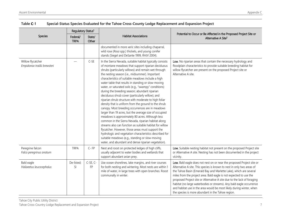|                                                   | Regulatory Status <sup>1</sup> |                 |                                                                                                                                                                                                                                                                                                                                                                                                                                                                                                                                                                                                                                                                                                                                                                                                                                                                                                                                                                                                                                                                                                                                       |                                                                                                                                                                                                                                                                                                                                                                                                                                                                                                                                                                             |  |
|---------------------------------------------------|--------------------------------|-----------------|---------------------------------------------------------------------------------------------------------------------------------------------------------------------------------------------------------------------------------------------------------------------------------------------------------------------------------------------------------------------------------------------------------------------------------------------------------------------------------------------------------------------------------------------------------------------------------------------------------------------------------------------------------------------------------------------------------------------------------------------------------------------------------------------------------------------------------------------------------------------------------------------------------------------------------------------------------------------------------------------------------------------------------------------------------------------------------------------------------------------------------------|-----------------------------------------------------------------------------------------------------------------------------------------------------------------------------------------------------------------------------------------------------------------------------------------------------------------------------------------------------------------------------------------------------------------------------------------------------------------------------------------------------------------------------------------------------------------------------|--|
| Species                                           | Federal/<br><b>TRPA</b>        | State/<br>Other | <b>Habitat Associations</b>                                                                                                                                                                                                                                                                                                                                                                                                                                                                                                                                                                                                                                                                                                                                                                                                                                                                                                                                                                                                                                                                                                           | Potential to Occur or Be Affected in the Proposed Project Site or<br>Alternative A Site <sup>2</sup>                                                                                                                                                                                                                                                                                                                                                                                                                                                                        |  |
|                                                   |                                |                 | documented in more xeric sites including chaparral,<br>wild rose (Rosa spp.) thickets, and young conifer<br>stands (Siegel and DeSante 1999, RHJV 2004).                                                                                                                                                                                                                                                                                                                                                                                                                                                                                                                                                                                                                                                                                                                                                                                                                                                                                                                                                                              |                                                                                                                                                                                                                                                                                                                                                                                                                                                                                                                                                                             |  |
| Willow flycatcher<br>Empidonax traillii brewsteri |                                | $C-SE$          | In the Sierra Nevada, suitable habitat typically consists<br>of montane meadows that support riparian deciduous<br>shrubs (particularly willows) and remain wet through<br>the nesting season (i.e., midsummer). Important<br>characteristics of suitable meadows include a high<br>water table that results in standing or slow-moving<br>water, or saturated soils (e.g., "swampy" conditions)<br>during the breeding season; abundant riparian<br>deciduous shrub cover (particularly willow); and<br>riparian shrub structure with moderate to high foliar<br>density that is uniform from the ground to the shrub<br>canopy. Most breeding occurrences are in meadows<br>larger than 19 acres, but the average size of occupied<br>meadows is approximately 80 acres. Although less<br>common in the Sierra Nevada, riparian habitat along<br>streams also can function as suitable habitat for willow<br>flycatcher. However, those areas must support the<br>hydrologic and vegetation characteristics described for<br>suitable meadows (e.g., standing or slow-moving<br>water, and abundant and dense riparian vegetation). | Low. No riparian areas that contain the necessary hydrology and<br>floodplain characteristics to provide suitable breeding habitat for<br>willow flycatcher are present on the proposed Project site or<br>Alternative A site.                                                                                                                                                                                                                                                                                                                                              |  |
| Peregrine falcon<br>Falco peregrinus anatum       | <b>TRPA</b>                    | $C - FP$        | Nest and roost on protected ledges of high cliffs,<br>usually adjacent to water bodies and wetlands that<br>support abundant avian prey.                                                                                                                                                                                                                                                                                                                                                                                                                                                                                                                                                                                                                                                                                                                                                                                                                                                                                                                                                                                              | Low. Suitable nesting habitat not present on the proposed Project site<br>or Alternative A site. Nesting has not been documented in the project<br>vicinity.                                                                                                                                                                                                                                                                                                                                                                                                                |  |
| Bald eagle<br>Haliaeetus leucocephalus            | De-listed;<br>SI               | C-SE, C-<br>FP  | Use ocean shorelines, lake margins, and river courses<br>for both nesting and wintering. Most nests are within 1<br>mile of water, in large trees with open branches. Roost<br>communally in winter.                                                                                                                                                                                                                                                                                                                                                                                                                                                                                                                                                                                                                                                                                                                                                                                                                                                                                                                                  | Low. Bald eagle does not nest on or near the proposed Project site or<br>Alternative A site. This species is known to nest in only two areas of<br>the Tahoe Basin (Emerald Bay and Marlette Lake), which are several<br>miles from the project area. Bald eagle is not expected to use the<br>proposed Project site or Alternative A site due to the lack of foraging<br>habitat (no large waterbodies or streams). Any bald eagle occurrence<br>and habitat use in the area would be most likely during winter, when<br>the species is more abundant in the Tahoe region. |  |

| Table <b>C</b> -1 | Special-Status Species Evaluated for the Tahoe Cross-County Lodge Replacement and Expansion Project |  |  |
|-------------------|-----------------------------------------------------------------------------------------------------|--|--|
|-------------------|-----------------------------------------------------------------------------------------------------|--|--|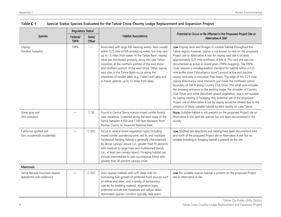|                                                              | Regulatory Status <sup>1</sup> |                 |                                                                                                                                                                                                                                                                                                                                                                                                                                                                                                                   |                                                                                                                                                                                                                                                                                                                                                                                                                                                                                                                                                                                                                                                                                                                                                                                                                                                                                                                                                                                                                                                                                             |  |
|--------------------------------------------------------------|--------------------------------|-----------------|-------------------------------------------------------------------------------------------------------------------------------------------------------------------------------------------------------------------------------------------------------------------------------------------------------------------------------------------------------------------------------------------------------------------------------------------------------------------------------------------------------------------|---------------------------------------------------------------------------------------------------------------------------------------------------------------------------------------------------------------------------------------------------------------------------------------------------------------------------------------------------------------------------------------------------------------------------------------------------------------------------------------------------------------------------------------------------------------------------------------------------------------------------------------------------------------------------------------------------------------------------------------------------------------------------------------------------------------------------------------------------------------------------------------------------------------------------------------------------------------------------------------------------------------------------------------------------------------------------------------------|--|
| <b>Species</b>                                               | Federal/<br><b>TRPA</b>        | State/<br>Other | <b>Habitat Associations</b>                                                                                                                                                                                                                                                                                                                                                                                                                                                                                       | Potential to Occur or Be Affected in the Proposed Project Site or<br>Alternative A Site <sup>2</sup>                                                                                                                                                                                                                                                                                                                                                                                                                                                                                                                                                                                                                                                                                                                                                                                                                                                                                                                                                                                        |  |
| Osprey<br>Pandion haliaetus                                  | <b>TRPA</b>                    |                 | Associated with large fish-bearing waters. Nest usually<br>within 0.25 mile of fish-producing water, but may nest<br>up to 1.5 miles from water. In the Tahoe Basin, osprey<br>nests are distributed primarily along the Lake Tahoe<br>shoreline, at the northern portion of the east shore<br>and southern portion of the west shore. Other osprey<br>nest sites in the Tahoe Basin occur along the<br>shorelines of smaller lakes (e.g., Fallen Leaf Lake) and<br>in forest uplands up to 1.5 miles from lakes. | Low. Osprey nests and forages in suitable habitat throughout the<br>Tahoe region; however, osprey is not known to nest on the proposed<br>Project site or Alternative A site. An osprey nest site is located<br>approximately 0.25 mile northeast of Site A. This nest site was not<br>documented as active in recent years (TRPA mapping). The TRPA<br>Code requires a nondegradation standard for habitat within a 0.25-<br>mile buffer zone ("disturbance zone") around active and inactive<br>osprey nest sites in nonurban Plan Areas. The edge of this 0.25-mile<br>osprey disturbance zone intersects just inside the northeast-corner<br>boundary of Site A along Country Club Drive. This small area includes<br>the driveway entrance to the existing lodge, the shoulder of Country<br>Club Drive, and some disturbed upland vegetation, and is not suitable<br>for osprey nesting or foraging. Any potential use of the proposed<br>Project site or Alternative A site by osprey would be limited due to the<br>presence of more suitable habitat located nearby on Lake Tahoe. |  |
| Great gray owl<br>Strix nebulosa                             |                                | $C-SE$          | Found in Central Sierra mature mixed conifer forests<br>near meadows. Scattered along the west slope of the<br>Sierra, between 4,500 and 7,500 feet elevation, from<br>Plumas County to Yosemite National Park.                                                                                                                                                                                                                                                                                                   | None. Suitable habitat is not present on the proposed Project site or<br>Alternative A site, and the species has not been documented in the<br>vicinity.                                                                                                                                                                                                                                                                                                                                                                                                                                                                                                                                                                                                                                                                                                                                                                                                                                                                                                                                    |  |
| California spotted owl<br>Strix occidentalis occidentalis    |                                | C-SSC           | Occur in several forest vegetation types including<br>mixed conifer, ponderosa pine, red fir, and montane<br>hardwood. Nesting habitat is generally characterized<br>by dense canopy closure (i.e., greater than 70 percent)<br>with medium to large trees and multistoried stands<br>(i.e., at least two canopy layers). Foraging habitat can<br>include intermediate to late-successional forest with<br>greater than 40 percent canopy cover.                                                                  | Low. Spotted owl detections and nesting have been documented west<br>and north of the proposed Project site or Alternative A site, but no<br>suitable breeding or foraging habitat is present on the site.                                                                                                                                                                                                                                                                                                                                                                                                                                                                                                                                                                                                                                                                                                                                                                                                                                                                                  |  |
| Mammals                                                      |                                |                 |                                                                                                                                                                                                                                                                                                                                                                                                                                                                                                                   |                                                                                                                                                                                                                                                                                                                                                                                                                                                                                                                                                                                                                                                                                                                                                                                                                                                                                                                                                                                                                                                                                             |  |
| Sierra Nevada mountain beaver<br>Aplodontia rufa californica |                                | C-SSC           | Uses riparian habitats with soft, deep soils for<br>burrowing, lush growth of preferred food sources such<br>as willow and alder, and a variety of herbaceous<br>species for bedding material. Vegetation types<br>preferred include wet meadows and willow-alder-<br>dominated riparian corridors typically near water                                                                                                                                                                                           | Low. No suitable riparian habitat is present on the proposed Project<br>site or Alternative A site.                                                                                                                                                                                                                                                                                                                                                                                                                                                                                                                                                                                                                                                                                                                                                                                                                                                                                                                                                                                         |  |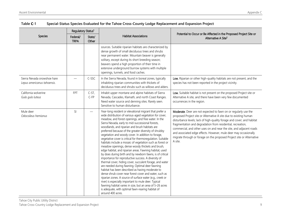|                                                            | Regulatory Status <sup>1</sup> |                          |                                                                                                                                                                                                                                                                                                                                                                                                                                                                                                                                                                                                                                                                                                                                                                                                                                                                                                                                                                                                                                                                                                                                                                                                                                                         |                                                                                                                                                                                                                                                                                                                                                                                                                                                                                                              |  |
|------------------------------------------------------------|--------------------------------|--------------------------|---------------------------------------------------------------------------------------------------------------------------------------------------------------------------------------------------------------------------------------------------------------------------------------------------------------------------------------------------------------------------------------------------------------------------------------------------------------------------------------------------------------------------------------------------------------------------------------------------------------------------------------------------------------------------------------------------------------------------------------------------------------------------------------------------------------------------------------------------------------------------------------------------------------------------------------------------------------------------------------------------------------------------------------------------------------------------------------------------------------------------------------------------------------------------------------------------------------------------------------------------------|--------------------------------------------------------------------------------------------------------------------------------------------------------------------------------------------------------------------------------------------------------------------------------------------------------------------------------------------------------------------------------------------------------------------------------------------------------------------------------------------------------------|--|
| Species                                                    | Federal/<br><b>TRPA</b>        | State/<br>Other          | <b>Habitat Associations</b>                                                                                                                                                                                                                                                                                                                                                                                                                                                                                                                                                                                                                                                                                                                                                                                                                                                                                                                                                                                                                                                                                                                                                                                                                             | Potential to Occur or Be Affected in the Proposed Project Site or<br>Alternative A Site <sup>2</sup>                                                                                                                                                                                                                                                                                                                                                                                                         |  |
|                                                            |                                |                          | sources. Suitable riparian habitats are characterized by<br>dense growth of small deciduous trees and shrubs<br>near permanent water. Mountain beaver is generally<br>solitary, except during its short breeding season;<br>beavers spend a high proportion of their time in<br>extensive underground burrow systems with multiple<br>openings, tunnels, and food caches.                                                                                                                                                                                                                                                                                                                                                                                                                                                                                                                                                                                                                                                                                                                                                                                                                                                                               |                                                                                                                                                                                                                                                                                                                                                                                                                                                                                                              |  |
| Sierra Nevada snowshoe hare<br>Lepus americanus tahoensis. |                                | C-SSC                    | In the Sierra Nevada, found in boreal zones, typically<br>inhabiting riparian communities with thickets of<br>deciduous trees and shrubs such as willows and alders.                                                                                                                                                                                                                                                                                                                                                                                                                                                                                                                                                                                                                                                                                                                                                                                                                                                                                                                                                                                                                                                                                    | Low. Riparian or other high-quality habitats are not present, and the<br>species has not been reported in the project vicinity.                                                                                                                                                                                                                                                                                                                                                                              |  |
| California wolverine<br>Gulo gulo luteus                   | <b>FPT</b>                     | $C-ST$ ,<br>$C$ -FP      | Inhabit upper montane and alpine habitats of Sierra<br>Nevada, Cascades, Klamath, and north Coast Ranges.<br>Need water source and denning sites. Rarely seen.<br>Sensitive to human disturbance.                                                                                                                                                                                                                                                                                                                                                                                                                                                                                                                                                                                                                                                                                                                                                                                                                                                                                                                                                                                                                                                       | Low. Suitable habitat is not present on the proposed Project site or<br>Alternative A site, and there have been very few documented<br>occurrences in the region.                                                                                                                                                                                                                                                                                                                                            |  |
| Mule deer<br>Odocoileus hemionus                           | SI                             | $\overline{\phantom{0}}$ | Year-long resident or elevational migrant that prefer a<br>wide distribution of various-aged vegetation for cover,<br>meadow, and forest openings, and free water. In the<br>Sierra Nevada, early to mid-successional forests,<br>woodlands, and riparian and brush habitats are<br>preferred because of the greater diversity of shrubby<br>vegetation and woody cover. In addition to forage,<br>vegetative cover is critical for thermoregulation. Suitable<br>habitats include a mosaic of vegetation such as forest or<br>meadow openings, dense woody thickets and brush,<br>edge habitat, and riparian areas. Fawning habitat, used<br>by does during birth and by newborn fawns, is of critical<br>importance for reproductive success. A diversity of<br>thermal cover, hiding cover, succulent forage, and water<br>are needed during fawning. Optimal deer fawning<br>habitat has been described as having moderate to<br>dense shrub cover near forest cover and water, such as<br>riparian zones. A source of surface water (e.g., creek or<br>river) is especially important to mule deer. Typical<br>fawning habitat varies in size, but an area of 5-26 acres<br>is adequate, with optimal fawn-rearing habitat of<br>around 400 acres. | Moderate. Deer are not expected to fawn on or regularly use the<br>proposed Project site or Alternative A site due to existing human<br>disturbance levels; lack of high-quality forage and cover; and habitat<br>fragmentation and degradation from residential, recreation,<br>commercial, and other uses on and near the site, and adjacent roads<br>and associated edge effects. However, mule deer may occasionally<br>migrate through or forage on the proposed Project site or Alternative<br>A site. |  |

| Table <b>C</b> -1 | Special-Status Species Evaluated for the Tahoe Cross-County Lodge Replacement and Expansion Project |  |  |  |
|-------------------|-----------------------------------------------------------------------------------------------------|--|--|--|
|-------------------|-----------------------------------------------------------------------------------------------------|--|--|--|